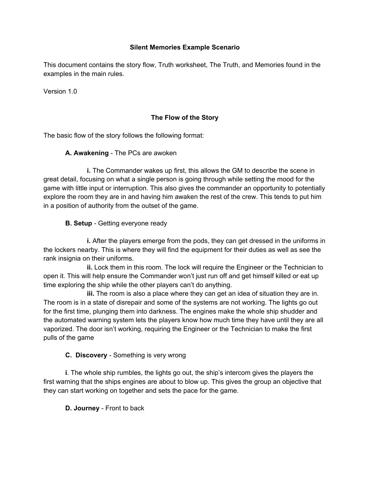## **Silent Memories Example Scenario**

This document contains the story flow, Truth worksheet, The Truth, and Memories found in the examples in the main rules.

Version 1.0

# **The Flow of the Story**

The basic flow of the story follows the following format:

## **A. Awakening** - The PCs are awoken

 **i.** The Commander wakes up first, this allows the GM to describe the scene in great detail, focusing on what a single person is going through while setting the mood for the game with little input or interruption. This also gives the commander an opportunity to potentially explore the room they are in and having him awaken the rest of the crew. This tends to put him in a position of authority from the outset of the game.

# **B. Setup** - Getting everyone ready

 **i.** After the players emerge from the pods, they can get dressed in the uniforms in the lockers nearby. This is where they will find the equipment for their duties as well as see the rank insignia on their uniforms.

 **ii.** Lock them in this room. The lock will require the Engineer or the Technician to open it. This will help ensure the Commander won't just run off and get himself killed or eat up time exploring the ship while the other players can't do anything.

 **iii.** The room is also a place where they can get an idea of situation they are in. The room is in a state of disrepair and some of the systems are not working. The lights go out for the first time, plunging them into darkness. The engines make the whole ship shudder and the automated warning system lets the players know how much time they have until they are all vaporized. The door isn't working, requiring the Engineer or the Technician to make the first pulls of the game

# **C. Discovery** - Something is very wrong

 **i**. The whole ship rumbles, the lights go out, the ship's intercom gives the players the first warning that the ships engines are about to blow up. This gives the group an objective that they can start working on together and sets the pace for the game.

**D. Journey** - Front to back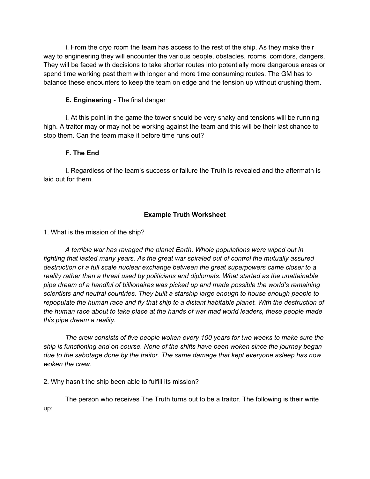**i**. From the cryo room the team has access to the rest of the ship. As they make their way to engineering they will encounter the various people, obstacles, rooms, corridors, dangers. They will be faced with decisions to take shorter routes into potentially more dangerous areas or spend time working past them with longer and more time consuming routes. The GM has to balance these encounters to keep the team on edge and the tension up without crushing them.

## **E. Engineering** - The final danger

 **i**. At this point in the game the tower should be very shaky and tensions will be running high. A traitor may or may not be working against the team and this will be their last chance to stop them. Can the team make it before time runs out?

## **F. The End**

 **i.** Regardless of the team's success or failure the Truth is revealed and the aftermath is laid out for them.

# **Example Truth Worksheet**

1. What is the mission of the ship?

 *A terrible war has ravaged the planet Earth. Whole populations were wiped out in fighting that lasted many years. As the great war spiraled out of control the mutually assured destruction of a full scale nuclear exchange between the great superpowers came closer to a reality rather than a threat used by politicians and diplomats. What started as the unattainable pipe dream of a handful of billionaires was picked up and made possible the world's remaining scientists and neutral countries. They built a starship large enough to house enough people to repopulate the human race and fly that ship to a distant habitable planet. With the destruction of the human race about to take place at the hands of war mad world leaders, these people made this pipe dream a reality.*

*The crew consists of five people woken every 100 years for two weeks to make sure the ship is functioning and on course. None of the shifts have been woken since the journey began due to the sabotage done by the traitor. The same damage that kept everyone asleep has now woken the crew.*

2. Why hasn't the ship been able to fulfill its mission?

The person who receives The Truth turns out to be a traitor. The following is their write up: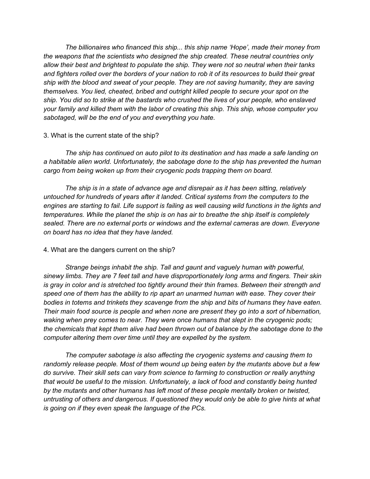*The billionaires who financed this ship... this ship name 'Hope', made their money from the weapons that the scientists who designed the ship created. These neutral countries only allow their best and brightest to populate the ship. They were not so neutral when their tanks and fighters rolled over the borders of your nation to rob it of its resources to build their great ship with the blood and sweat of your people. They are not saving humanity, they are saving themselves. You lied, cheated, bribed and outright killed people to secure your spot on the ship. You did so to strike at the bastards who crushed the lives of your people, who enslaved your family and killed them with the labor of creating this ship. This ship, whose computer you sabotaged, will be the end of you and everything you hate.*

#### 3. What is the current state of the ship?

*The ship has continued on auto pilot to its destination and has made a safe landing on a habitable alien world. Unfortunately, the sabotage done to the ship has prevented the human cargo from being woken up from their cryogenic pods trapping them on board.*

*The ship is in a state of advance age and disrepair as it has been sitting, relatively untouched for hundreds of years after it landed. Critical systems from the computers to the*  engines are starting to fail. Life support is failing as well causing wild functions in the lights and *temperatures. While the planet the ship is on has air to breathe the ship itself is completely sealed. There are no external ports or windows and the external cameras are down. Everyone on board has no idea that they have landed.*

#### 4. What are the dangers current on the ship?

*Strange beings inhabit the ship. Tall and gaunt and vaguely human with powerful, sinewy limbs. They are 7 feet tall and have disproportionately long arms and fingers. Their skin is gray in color and is stretched too tightly around their thin frames. Between their strength and speed one of them has the ability to rip apart an unarmed human with ease. They cover their bodies in totems and trinkets they scavenge from the ship and bits of humans they have eaten. Their main food source is people and when none are present they go into a sort of hibernation, waking when prey comes to near. They were once humans that slept in the cryogenic pods; the chemicals that kept them alive had been thrown out of balance by the sabotage done to the computer altering them over time until they are expelled by the system.*

*The computer sabotage is also affecting the cryogenic systems and causing them to randomly release people. Most of them wound up being eaten by the mutants above but a few do survive. Their skill sets can vary from science to farming to construction or really anything that would be useful to the mission. Unfortunately, a lack of food and constantly being hunted by the mutants and other humans has left most of these people mentally broken or twisted, untrusting of others and dangerous. If questioned they would only be able to give hints at what is going on if they even speak the language of the PCs.*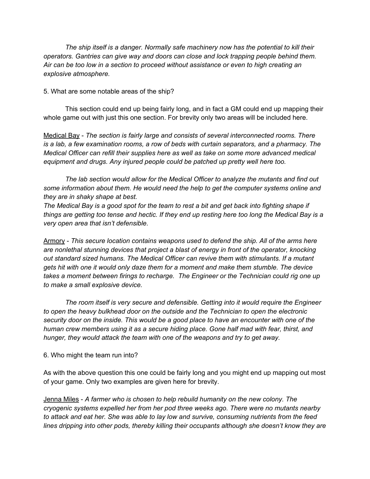*The ship itself is a danger. Normally safe machinery now has the potential to kill their operators. Gantries can give way and doors can close and lock trapping people behind them. Air can be too low in a section to proceed without assistance or even to high creating an explosive atmosphere.*

5. What are some notable areas of the ship?

This section could end up being fairly long, and in fact a GM could end up mapping their whole game out with just this one section. For brevity only two areas will be included here.

Medical Bay - *The section is fairly large and consists of several interconnected rooms. There is a lab, a few examination rooms, a row of beds with curtain separators, and a pharmacy. The Medical Officer can refill their supplies here as well as take on some more advanced medical equipment and drugs. Any injured people could be patched up pretty well here too.*

*The lab section would allow for the Medical Officer to analyze the mutants and find out some information about them. He would need the help to get the computer systems online and they are in shaky shape at best.*

*The Medical Bay is a good spot for the team to rest a bit and get back into fighting shape if things are getting too tense and hectic. If they end up resting here too long the Medical Bay is a very open area that isn't defensible.*

Armory - *This secure location contains weapons used to defend the ship. All of the arms here are nonlethal stunning devices that project a blast of energy in front of the operator, knocking out standard sized humans. The Medical Officer can revive them with stimulants. If a mutant gets hit with one it would only daze them for a moment and make them stumble. The device takes a moment between firings to recharge. The Engineer or the Technician could rig one up to make a small explosive device.*

*The room itself is very secure and defensible. Getting into it would require the Engineer to open the heavy bulkhead door on the outside and the Technician to open the electronic security door on the inside. This would be a good place to have an encounter with one of the human crew members using it as a secure hiding place. Gone half mad with fear, thirst, and hunger, they would attack the team with one of the weapons and try to get away.*

6. Who might the team run into?

As with the above question this one could be fairly long and you might end up mapping out most of your game. Only two examples are given here for brevity.

Jenna Miles - *A farmer who is chosen to help rebuild humanity on the new colony. The cryogenic systems expelled her from her pod three weeks ago. There were no mutants nearby to attack and eat her. She was able to lay low and survive, consuming nutrients from the feed lines dripping into other pods, thereby killing their occupants although she doesn't know they are*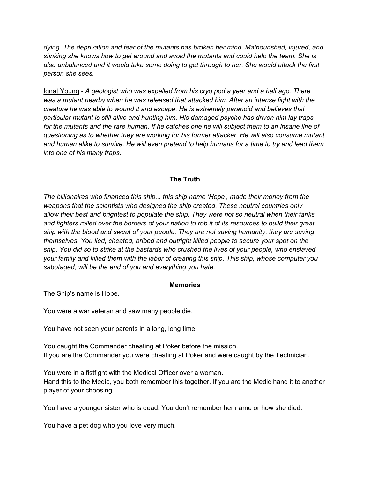*dying. The deprivation and fear of the mutants has broken her mind. Malnourished, injured, and stinking she knows how to get around and avoid the mutants and could help the team. She is also unbalanced and it would take some doing to get through to her. She would attack the first person she sees.*

Ignat Young - *A geologist who was expelled from his cryo pod a year and a half ago. There was a mutant nearby when he was released that attacked him. After an intense fight with the creature he was able to wound it and escape. He is extremely paranoid and believes that particular mutant is still alive and hunting him. His damaged psyche has driven him lay traps*  for the mutants and the rare human. If he catches one he will subject them to an insane line of *questioning as to whether they are working for his former attacker. He will also consume mutant and human alike to survive. He will even pretend to help humans for a time to try and lead them into one of his many traps.*

## **The Truth**

*The billionaires who financed this ship... this ship name 'Hope', made their money from the weapons that the scientists who designed the ship created. These neutral countries only allow their best and brightest to populate the ship. They were not so neutral when their tanks and fighters rolled over the borders of your nation to rob it of its resources to build their great ship with the blood and sweat of your people. They are not saving humanity, they are saving themselves. You lied, cheated, bribed and outright killed people to secure your spot on the ship. You did so to strike at the bastards who crushed the lives of your people, who enslaved your family and killed them with the labor of creating this ship. This ship, whose computer you sabotaged, will be the end of you and everything you hate.*

#### **Memories**

The Ship's name is Hope.

You were a war veteran and saw many people die.

You have not seen your parents in a long, long time.

You caught the Commander cheating at Poker before the mission. If you are the Commander you were cheating at Poker and were caught by the Technician.

You were in a fistfight with the Medical Officer over a woman. Hand this to the Medic, you both remember this together. If you are the Medic hand it to another player of your choosing.

You have a younger sister who is dead. You don't remember her name or how she died.

You have a pet dog who you love very much.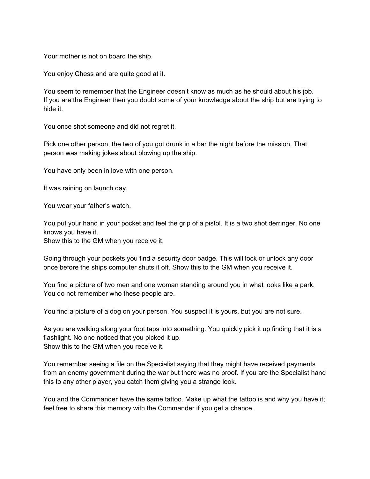Your mother is not on board the ship.

You enjoy Chess and are quite good at it.

You seem to remember that the Engineer doesn't know as much as he should about his job. If you are the Engineer then you doubt some of your knowledge about the ship but are trying to hide it.

You once shot someone and did not regret it.

Pick one other person, the two of you got drunk in a bar the night before the mission. That person was making jokes about blowing up the ship.

You have only been in love with one person.

It was raining on launch day.

You wear your father's watch.

You put your hand in your pocket and feel the grip of a pistol. It is a two shot derringer. No one knows you have it.

Show this to the GM when you receive it.

Going through your pockets you find a security door badge. This will lock or unlock any door once before the ships computer shuts it off. Show this to the GM when you receive it.

You find a picture of two men and one woman standing around you in what looks like a park. You do not remember who these people are.

You find a picture of a dog on your person. You suspect it is yours, but you are not sure.

As you are walking along your foot taps into something. You quickly pick it up finding that it is a flashlight. No one noticed that you picked it up. Show this to the GM when you receive it.

You remember seeing a file on the Specialist saying that they might have received payments from an enemy government during the war but there was no proof. If you are the Specialist hand this to any other player, you catch them giving you a strange look.

You and the Commander have the same tattoo. Make up what the tattoo is and why you have it; feel free to share this memory with the Commander if you get a chance.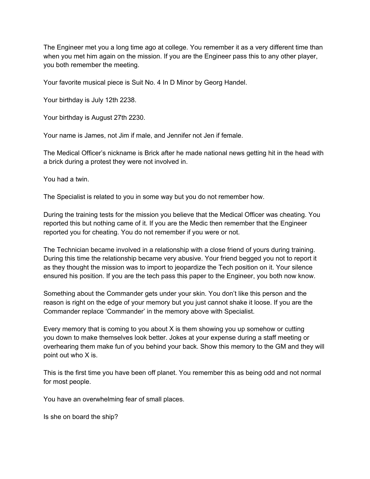The Engineer met you a long time ago at college. You remember it as a very different time than when you met him again on the mission. If you are the Engineer pass this to any other player, you both remember the meeting.

Your favorite musical piece is Suit No. 4 In D Minor by Georg Handel.

Your birthday is July 12th 2238.

Your birthday is August 27th 2230.

Your name is James, not Jim if male, and Jennifer not Jen if female.

The Medical Officer's nickname is Brick after he made national news getting hit in the head with a brick during a protest they were not involved in.

You had a twin.

The Specialist is related to you in some way but you do not remember how.

During the training tests for the mission you believe that the Medical Officer was cheating. You reported this but nothing came of it. If you are the Medic then remember that the Engineer reported you for cheating. You do not remember if you were or not.

The Technician became involved in a relationship with a close friend of yours during training. During this time the relationship became very abusive. Your friend begged you not to report it as they thought the mission was to import to jeopardize the Tech position on it. Your silence ensured his position. If you are the tech pass this paper to the Engineer, you both now know.

Something about the Commander gets under your skin. You don't like this person and the reason is right on the edge of your memory but you just cannot shake it loose. If you are the Commander replace 'Commander' in the memory above with Specialist.

Every memory that is coming to you about X is them showing you up somehow or cutting you down to make themselves look better. Jokes at your expense during a staff meeting or overhearing them make fun of you behind your back. Show this memory to the GM and they will point out who X is.

This is the first time you have been off planet. You remember this as being odd and not normal for most people.

You have an overwhelming fear of small places.

Is she on board the ship?